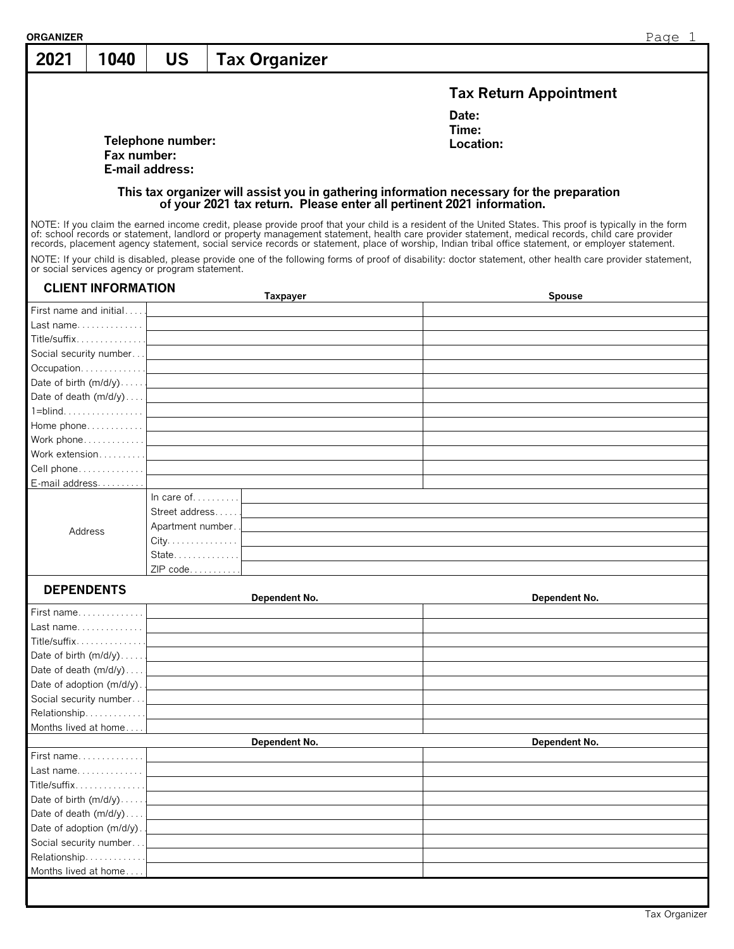| <b>ORGANIZER</b>  |                                                 |                        |                                                                                                                                                                                                                                                                                                                                        | Page 1                                                                                                                                                                                                                                                                                                                                                                                                                                                              |
|-------------------|-------------------------------------------------|------------------------|----------------------------------------------------------------------------------------------------------------------------------------------------------------------------------------------------------------------------------------------------------------------------------------------------------------------------------------|---------------------------------------------------------------------------------------------------------------------------------------------------------------------------------------------------------------------------------------------------------------------------------------------------------------------------------------------------------------------------------------------------------------------------------------------------------------------|
| 2021              | 1040                                            | <b>US</b>              | <b>Tax Organizer</b>                                                                                                                                                                                                                                                                                                                   |                                                                                                                                                                                                                                                                                                                                                                                                                                                                     |
|                   |                                                 |                        |                                                                                                                                                                                                                                                                                                                                        | <b>Tax Return Appointment</b>                                                                                                                                                                                                                                                                                                                                                                                                                                       |
|                   |                                                 |                        |                                                                                                                                                                                                                                                                                                                                        | Date:                                                                                                                                                                                                                                                                                                                                                                                                                                                               |
|                   |                                                 |                        |                                                                                                                                                                                                                                                                                                                                        | Time:                                                                                                                                                                                                                                                                                                                                                                                                                                                               |
|                   |                                                 | Telephone number:      |                                                                                                                                                                                                                                                                                                                                        | Location:                                                                                                                                                                                                                                                                                                                                                                                                                                                           |
|                   | Fax number:                                     |                        |                                                                                                                                                                                                                                                                                                                                        |                                                                                                                                                                                                                                                                                                                                                                                                                                                                     |
|                   |                                                 | <b>E-mail address:</b> |                                                                                                                                                                                                                                                                                                                                        |                                                                                                                                                                                                                                                                                                                                                                                                                                                                     |
|                   |                                                 |                        |                                                                                                                                                                                                                                                                                                                                        |                                                                                                                                                                                                                                                                                                                                                                                                                                                                     |
|                   |                                                 |                        |                                                                                                                                                                                                                                                                                                                                        | This tax organizer will assist you in gathering information necessary for the preparation<br>of your 2021 tax return. Please enter all pertinent 2021 information.                                                                                                                                                                                                                                                                                                  |
|                   |                                                 |                        |                                                                                                                                                                                                                                                                                                                                        | NOTE: If you claim the earned income credit, please provide proof that your child is a resident of the United States. This proof is typically in the form<br>of: school records or statement, landlord or property management statement, health care provider statement, medical records, child care provider<br>records, placement agency statement, social service records or statement, place of worship, Indian tribal office statement, or employer statement. |
|                   | or social services agency or program statement. |                        |                                                                                                                                                                                                                                                                                                                                        | NOTE: If your child is disabled, please provide one of the following forms of proof of disability: doctor statement, other health care provider statement,                                                                                                                                                                                                                                                                                                          |
|                   | <b>CLIENT INFORMATION</b>                       |                        | Taxpayer                                                                                                                                                                                                                                                                                                                               | <b>Spouse</b><br><u> 1989 - Johann Stein, mars an deutscher Stein und der Stein und der Stein und der Stein und der Stein und der</u>                                                                                                                                                                                                                                                                                                                               |
|                   | First name and initial                          |                        | <u> 1980 - Jan Sterlinger, fransk politiker (d. 1980)</u>                                                                                                                                                                                                                                                                              |                                                                                                                                                                                                                                                                                                                                                                                                                                                                     |
|                   | Last name                                       |                        | <u> 1989 - Johann Stoff, Amerikaansk politiker († 1908)</u>                                                                                                                                                                                                                                                                            | the control of the control of the control of the control of the control of                                                                                                                                                                                                                                                                                                                                                                                          |
|                   | Title/suffix                                    |                        | the control of the control of the control of the control of the control of the control of the control of the control of the control of the control of the control of the control of the control of the control of the control                                                                                                          |                                                                                                                                                                                                                                                                                                                                                                                                                                                                     |
|                   | Social security number                          |                        | <u> 1989 - Johann John Stein, markin sanat masjid asl a shekara ta 1989 - An tsara ta 1989 - An tsara ta 1989 - </u>                                                                                                                                                                                                                   |                                                                                                                                                                                                                                                                                                                                                                                                                                                                     |
|                   | Occupation                                      |                        | the control of the control of the control of the control of the control of the control of the control of the control of the control of the control of the control of the control of the control of the control of the control                                                                                                          |                                                                                                                                                                                                                                                                                                                                                                                                                                                                     |
|                   | Date of birth $(m/d/y)$                         |                        | the control of the control of the control of the control of the control of the control of the control of the control of the control of the control of the control of the control of the control of the control of the control                                                                                                          |                                                                                                                                                                                                                                                                                                                                                                                                                                                                     |
|                   |                                                 |                        | Date of death $(m/d/y) \ldots$                                                                                                                                                                                                                                                                                                         |                                                                                                                                                                                                                                                                                                                                                                                                                                                                     |
|                   | $1 = blind$                                     |                        | and the control of the control of the control of the control of the control of the control of the control of the                                                                                                                                                                                                                       |                                                                                                                                                                                                                                                                                                                                                                                                                                                                     |
|                   | Home phone                                      |                        | the control of the control of the control of the control of the control of the control of the control of the control of the control of the control of the control of the control of the control of the control of the control                                                                                                          |                                                                                                                                                                                                                                                                                                                                                                                                                                                                     |
|                   |                                                 |                        | Work phone. $\ldots$ $\ldots$ $\ldots$ $\ldots$ $\ldots$ $\ldots$ $\ldots$ $\ldots$ $\ldots$ $\ldots$ $\ldots$ $\ldots$ $\ldots$ $\ldots$ $\ldots$ $\ldots$ $\ldots$ $\ldots$ $\ldots$ $\ldots$ $\ldots$ $\ldots$ $\ldots$ $\ldots$ $\ldots$ $\ldots$ $\ldots$ $\ldots$ $\ldots$ $\ldots$ $\ldots$ $\ldots$ $\ldots$ $\ldots$ $\ldots$ |                                                                                                                                                                                                                                                                                                                                                                                                                                                                     |
|                   | Work extension                                  |                        | and the control of the control of the control of the control of the control of the control of the control of the                                                                                                                                                                                                                       |                                                                                                                                                                                                                                                                                                                                                                                                                                                                     |
|                   | Cell phone                                      |                        | and the control of the control of the control of the control of the control of the control of the control of the                                                                                                                                                                                                                       |                                                                                                                                                                                                                                                                                                                                                                                                                                                                     |
|                   | E-mail address                                  |                        |                                                                                                                                                                                                                                                                                                                                        |                                                                                                                                                                                                                                                                                                                                                                                                                                                                     |
|                   |                                                 | In care of             |                                                                                                                                                                                                                                                                                                                                        | and the control of the control of the control of the control of the control of the control of the control of the                                                                                                                                                                                                                                                                                                                                                    |
|                   |                                                 | Street address         |                                                                                                                                                                                                                                                                                                                                        | and the control of the control of the control of the control of the control of the control of the control of the                                                                                                                                                                                                                                                                                                                                                    |
|                   | Address                                         | Apartment number.      |                                                                                                                                                                                                                                                                                                                                        | <u> 1989 - Johann Stoff, amerikansk politiker (* 1908)</u>                                                                                                                                                                                                                                                                                                                                                                                                          |
|                   |                                                 | City. 1                |                                                                                                                                                                                                                                                                                                                                        | and the control of the control of the control of the control of the control of the control of the control of the                                                                                                                                                                                                                                                                                                                                                    |
|                   |                                                 | State                  |                                                                                                                                                                                                                                                                                                                                        |                                                                                                                                                                                                                                                                                                                                                                                                                                                                     |
|                   |                                                 | ZIP code               |                                                                                                                                                                                                                                                                                                                                        |                                                                                                                                                                                                                                                                                                                                                                                                                                                                     |
| <b>DEPENDENTS</b> |                                                 |                        | Dependent No.                                                                                                                                                                                                                                                                                                                          | Dependent No.                                                                                                                                                                                                                                                                                                                                                                                                                                                       |
|                   | First name                                      |                        |                                                                                                                                                                                                                                                                                                                                        |                                                                                                                                                                                                                                                                                                                                                                                                                                                                     |
|                   | Last name                                       |                        |                                                                                                                                                                                                                                                                                                                                        |                                                                                                                                                                                                                                                                                                                                                                                                                                                                     |
|                   | Title/suffix                                    |                        |                                                                                                                                                                                                                                                                                                                                        |                                                                                                                                                                                                                                                                                                                                                                                                                                                                     |
|                   | Date of birth (m/d/y)                           |                        |                                                                                                                                                                                                                                                                                                                                        |                                                                                                                                                                                                                                                                                                                                                                                                                                                                     |
|                   | Date of death $(m/d/y)$                         |                        |                                                                                                                                                                                                                                                                                                                                        |                                                                                                                                                                                                                                                                                                                                                                                                                                                                     |
|                   | Date of adoption (m/d/y).                       |                        |                                                                                                                                                                                                                                                                                                                                        |                                                                                                                                                                                                                                                                                                                                                                                                                                                                     |
|                   | Social security number<br>Relationship          |                        |                                                                                                                                                                                                                                                                                                                                        |                                                                                                                                                                                                                                                                                                                                                                                                                                                                     |
|                   | Months lived at home                            |                        |                                                                                                                                                                                                                                                                                                                                        |                                                                                                                                                                                                                                                                                                                                                                                                                                                                     |
|                   |                                                 |                        | Dependent No.                                                                                                                                                                                                                                                                                                                          | Dependent No.                                                                                                                                                                                                                                                                                                                                                                                                                                                       |
|                   | First name                                      |                        |                                                                                                                                                                                                                                                                                                                                        |                                                                                                                                                                                                                                                                                                                                                                                                                                                                     |
|                   | Last name                                       |                        |                                                                                                                                                                                                                                                                                                                                        |                                                                                                                                                                                                                                                                                                                                                                                                                                                                     |
|                   | Title/suffix                                    |                        |                                                                                                                                                                                                                                                                                                                                        |                                                                                                                                                                                                                                                                                                                                                                                                                                                                     |
|                   | Date of birth $(m/d/y)$                         |                        |                                                                                                                                                                                                                                                                                                                                        |                                                                                                                                                                                                                                                                                                                                                                                                                                                                     |
|                   | Date of death $(m/d/y)$                         |                        |                                                                                                                                                                                                                                                                                                                                        |                                                                                                                                                                                                                                                                                                                                                                                                                                                                     |
|                   | Date of adoption (m/d/y).                       |                        |                                                                                                                                                                                                                                                                                                                                        |                                                                                                                                                                                                                                                                                                                                                                                                                                                                     |
|                   | Social security number                          |                        |                                                                                                                                                                                                                                                                                                                                        |                                                                                                                                                                                                                                                                                                                                                                                                                                                                     |
|                   | Relationship                                    |                        |                                                                                                                                                                                                                                                                                                                                        |                                                                                                                                                                                                                                                                                                                                                                                                                                                                     |
|                   | Months lived at home                            |                        |                                                                                                                                                                                                                                                                                                                                        |                                                                                                                                                                                                                                                                                                                                                                                                                                                                     |
|                   |                                                 |                        |                                                                                                                                                                                                                                                                                                                                        |                                                                                                                                                                                                                                                                                                                                                                                                                                                                     |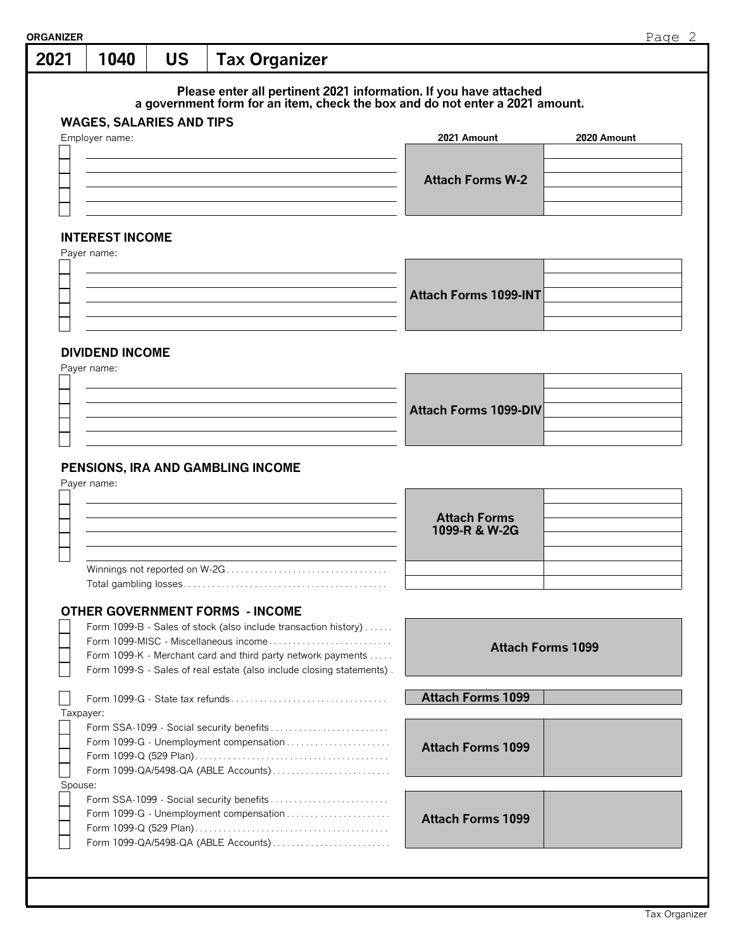| 2021      | 1040                                                                                                                                  | <b>US</b> | <b>Tax Organizer</b> |  |                                                                                                                                                   |                              |                          |  |
|-----------|---------------------------------------------------------------------------------------------------------------------------------------|-----------|----------------------|--|---------------------------------------------------------------------------------------------------------------------------------------------------|------------------------------|--------------------------|--|
|           |                                                                                                                                       |           |                      |  | Please enter all pertinent 2021 information. If you have attached<br>a government form for an item, check the box and do not enter a 2021 amount. |                              |                          |  |
|           | <b>WAGES, SALARIES AND TIPS</b><br>Employer name:                                                                                     |           |                      |  | 2021 Amount                                                                                                                                       |                              | 2020 Amount              |  |
|           |                                                                                                                                       |           |                      |  |                                                                                                                                                   |                              |                          |  |
|           |                                                                                                                                       |           |                      |  | <b>Attach Forms W-2</b>                                                                                                                           |                              |                          |  |
|           |                                                                                                                                       |           |                      |  |                                                                                                                                                   |                              |                          |  |
|           |                                                                                                                                       |           |                      |  |                                                                                                                                                   |                              |                          |  |
|           | <b>INTEREST INCOME</b>                                                                                                                |           |                      |  |                                                                                                                                                   |                              |                          |  |
|           | Payer name:                                                                                                                           |           |                      |  |                                                                                                                                                   |                              |                          |  |
|           |                                                                                                                                       |           |                      |  |                                                                                                                                                   |                              |                          |  |
|           |                                                                                                                                       |           |                      |  | <b>Attach Forms 1099-INT</b>                                                                                                                      |                              |                          |  |
|           |                                                                                                                                       |           |                      |  |                                                                                                                                                   |                              |                          |  |
|           |                                                                                                                                       |           |                      |  |                                                                                                                                                   |                              |                          |  |
|           | <b>DIVIDEND INCOME</b>                                                                                                                |           |                      |  |                                                                                                                                                   |                              |                          |  |
|           | Payer name:                                                                                                                           |           |                      |  |                                                                                                                                                   |                              |                          |  |
|           |                                                                                                                                       |           |                      |  |                                                                                                                                                   |                              |                          |  |
|           |                                                                                                                                       |           |                      |  |                                                                                                                                                   | <b>Attach Forms 1099-DIV</b> |                          |  |
|           |                                                                                                                                       |           |                      |  |                                                                                                                                                   |                              |                          |  |
|           |                                                                                                                                       |           |                      |  |                                                                                                                                                   |                              |                          |  |
|           |                                                                                                                                       |           |                      |  |                                                                                                                                                   |                              |                          |  |
|           | PENSIONS, IRA AND GAMBLING INCOME<br>Payer name:                                                                                      |           |                      |  |                                                                                                                                                   |                              |                          |  |
|           |                                                                                                                                       |           |                      |  |                                                                                                                                                   |                              |                          |  |
|           |                                                                                                                                       |           |                      |  | <b>Attach Forms</b>                                                                                                                               |                              |                          |  |
|           |                                                                                                                                       |           |                      |  | 1099-R & W-2G                                                                                                                                     |                              |                          |  |
|           |                                                                                                                                       |           |                      |  |                                                                                                                                                   |                              |                          |  |
|           |                                                                                                                                       |           |                      |  |                                                                                                                                                   |                              |                          |  |
|           |                                                                                                                                       |           |                      |  |                                                                                                                                                   |                              |                          |  |
|           | <b>OTHER GOVERNMENT FORMS - INCOME</b>                                                                                                |           |                      |  |                                                                                                                                                   |                              |                          |  |
|           | Form 1099-B - Sales of stock (also include transaction history)                                                                       |           |                      |  |                                                                                                                                                   |                              |                          |  |
|           | Form 1099-MISC - Miscellaneous income                                                                                                 |           |                      |  |                                                                                                                                                   |                              | <b>Attach Forms 1099</b> |  |
|           | Form 1099-K - Merchant card and third party network payments<br>Form 1099-S - Sales of real estate (also include closing statements). |           |                      |  |                                                                                                                                                   |                              |                          |  |
|           |                                                                                                                                       |           |                      |  |                                                                                                                                                   |                              |                          |  |
|           |                                                                                                                                       |           |                      |  | <b>Attach Forms 1099</b>                                                                                                                          |                              |                          |  |
| Taxpayer: |                                                                                                                                       |           |                      |  |                                                                                                                                                   |                              |                          |  |
|           | Form 1099-G - Unemployment compensation                                                                                               |           |                      |  |                                                                                                                                                   |                              |                          |  |
|           |                                                                                                                                       |           |                      |  | <b>Attach Forms 1099</b>                                                                                                                          |                              |                          |  |
|           | Form 1099-QA/5498-QA (ABLE Accounts)                                                                                                  |           |                      |  |                                                                                                                                                   |                              |                          |  |
| Spouse:   |                                                                                                                                       |           |                      |  |                                                                                                                                                   |                              |                          |  |
|           |                                                                                                                                       |           |                      |  |                                                                                                                                                   |                              |                          |  |
|           | Form 1099-G - Unemployment compensation                                                                                               |           |                      |  | <b>Attach Forms 1099</b>                                                                                                                          |                              |                          |  |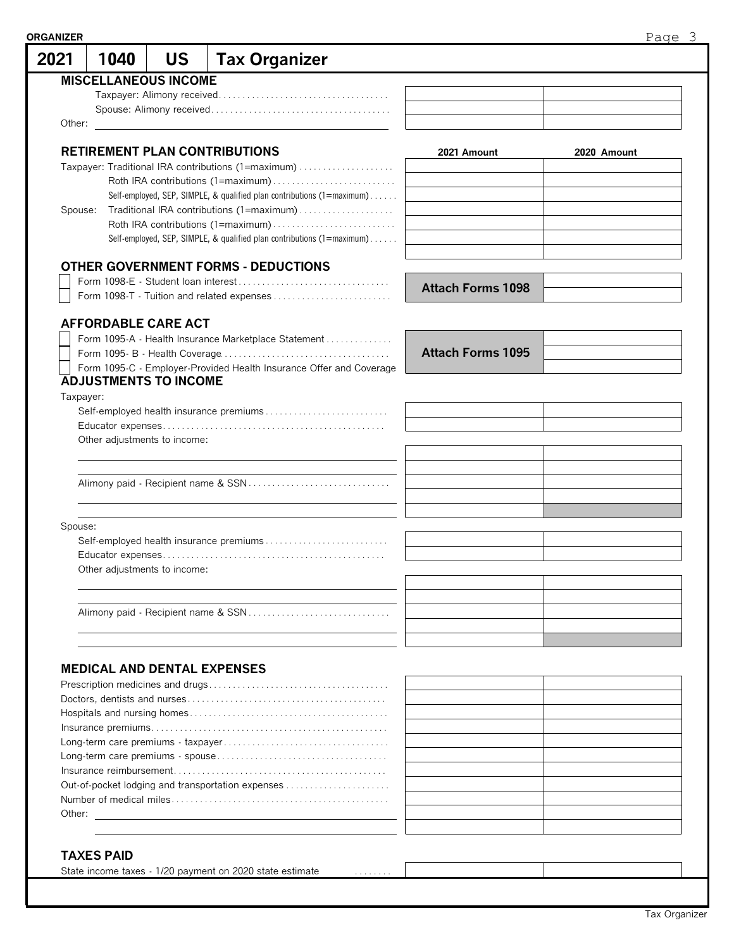| 2021      | 1040                         | <b>US</b> | <b>Tax Organizer</b>                                                   |                          |             |
|-----------|------------------------------|-----------|------------------------------------------------------------------------|--------------------------|-------------|
|           | <b>MISCELLANEOUS INCOME</b>  |           |                                                                        |                          |             |
|           |                              |           |                                                                        |                          |             |
|           |                              |           |                                                                        |                          |             |
|           |                              |           |                                                                        |                          |             |
|           |                              |           | <b>RETIREMENT PLAN CONTRIBUTIONS</b>                                   | 2021 Amount              | 2020 Amount |
|           |                              |           | Taxpayer: Traditional IRA contributions (1=maximum)                    |                          |             |
|           |                              |           |                                                                        |                          |             |
|           |                              |           | Self-employed, SEP, SIMPLE, & qualified plan contributions (1=maximum) |                          |             |
| Spouse:   |                              |           | Traditional IRA contributions (1=maximum)                              |                          |             |
|           |                              |           |                                                                        |                          |             |
|           |                              |           | Self-employed, SEP, SIMPLE, & qualified plan contributions (1=maximum) |                          |             |
|           |                              |           | <b>OTHER GOVERNMENT FORMS - DEDUCTIONS</b>                             |                          |             |
|           |                              |           |                                                                        |                          |             |
|           |                              |           |                                                                        | <b>Attach Forms 1098</b> |             |
|           |                              |           |                                                                        |                          |             |
|           | <b>AFFORDABLE CARE ACT</b>   |           |                                                                        |                          |             |
|           |                              |           | Form 1095-A - Health Insurance Marketplace Statement                   |                          |             |
|           |                              |           |                                                                        | <b>Attach Forms 1095</b> |             |
|           |                              |           | Form 1095-C - Employer-Provided Health Insurance Offer and Coverage    |                          |             |
|           | <b>ADJUSTMENTS TO INCOME</b> |           |                                                                        |                          |             |
| Taxpayer: |                              |           |                                                                        |                          |             |
|           |                              |           |                                                                        |                          |             |
|           | Other adjustments to income: |           |                                                                        |                          |             |
|           |                              |           |                                                                        |                          |             |
|           |                              |           |                                                                        |                          |             |
|           |                              |           |                                                                        |                          |             |
|           |                              |           |                                                                        |                          |             |
|           |                              |           |                                                                        |                          |             |
| Spouse:   |                              |           |                                                                        |                          |             |
|           |                              |           |                                                                        |                          |             |
|           |                              |           | Other adjustments to income:                                           |                          |             |
|           |                              |           |                                                                        |                          |             |
|           |                              |           |                                                                        |                          |             |
|           |                              |           | Alimony paid - Recipient name & SSN                                    |                          |             |
|           |                              |           |                                                                        |                          |             |
|           |                              |           |                                                                        |                          |             |
|           |                              |           | <b>MEDICAL AND DENTAL EXPENSES</b>                                     |                          |             |
|           |                              |           |                                                                        |                          |             |
|           |                              |           |                                                                        |                          |             |
|           |                              |           |                                                                        |                          |             |
|           |                              |           |                                                                        |                          |             |
|           |                              |           |                                                                        |                          |             |
|           |                              |           |                                                                        |                          |             |
|           |                              |           |                                                                        |                          |             |
|           |                              |           | Out-of-pocket lodging and transportation expenses                      |                          |             |
|           |                              |           |                                                                        |                          |             |
|           |                              |           |                                                                        |                          |             |
|           |                              |           |                                                                        |                          |             |
|           |                              |           |                                                                        |                          |             |